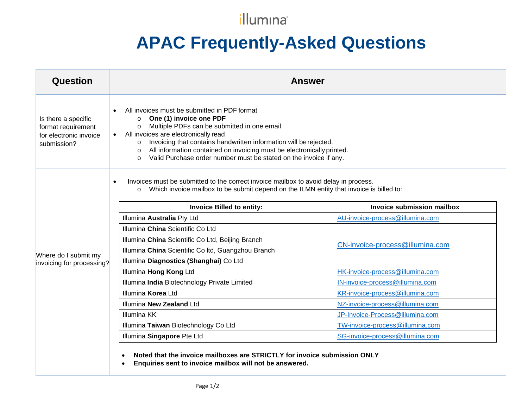## illumina®

## **APAC Frequently-Asked Questions**

| Question                                                                           | <b>Answer</b>                                                                                                                                                                                                                                                                                                                                                                                                                               |                                 |
|------------------------------------------------------------------------------------|---------------------------------------------------------------------------------------------------------------------------------------------------------------------------------------------------------------------------------------------------------------------------------------------------------------------------------------------------------------------------------------------------------------------------------------------|---------------------------------|
| Is there a specific<br>format requirement<br>for electronic invoice<br>submission? | All invoices must be submitted in PDF format<br>One (1) invoice one PDF<br>$\circ$<br>Multiple PDFs can be submitted in one email<br>$\circ$<br>• All invoices are electronically read<br>Invoicing that contains handwritten information will be rejected.<br>$\circ$<br>All information contained on invoicing must be electronically printed.<br>$\circ$<br>Valid Purchase order number must be stated on the invoice if any.<br>$\circ$ |                                 |
|                                                                                    | Invoices must be submitted to the correct invoice mailbox to avoid delay in process.<br>Which invoice mailbox to be submit depend on the ILMN entity that invoice is billed to:<br>$\circ$<br><b>Invoice Billed to entity:</b><br>Invoice submission mailbox                                                                                                                                                                                |                                 |
|                                                                                    | Illumina Australia Pty Ltd                                                                                                                                                                                                                                                                                                                                                                                                                  | AU-invoice-process@illumina.com |
|                                                                                    |                                                                                                                                                                                                                                                                                                                                                                                                                                             |                                 |
|                                                                                    | Illumina China Scientific Co Ltd                                                                                                                                                                                                                                                                                                                                                                                                            |                                 |
|                                                                                    | Illumina China Scientific Co Ltd, Beijing Branch                                                                                                                                                                                                                                                                                                                                                                                            |                                 |
|                                                                                    | Illumina China Scientific Co Itd, Guangzhou Branch                                                                                                                                                                                                                                                                                                                                                                                          | CN-invoice-process@illumina.com |
| Where do I submit my                                                               | Illumina Diagnostics (Shanghai) Co Ltd                                                                                                                                                                                                                                                                                                                                                                                                      |                                 |
| invoicing for processing?                                                          | Illumina Hong Kong Ltd                                                                                                                                                                                                                                                                                                                                                                                                                      | HK-invoice-process@illumina.com |
|                                                                                    | Illumina India Biotechnology Private Limited                                                                                                                                                                                                                                                                                                                                                                                                | IN-invoice-process@illumina.com |
|                                                                                    | Illumina Korea Ltd                                                                                                                                                                                                                                                                                                                                                                                                                          | KR-invoice-process@illumina.com |
|                                                                                    | Illumina New Zealand Ltd                                                                                                                                                                                                                                                                                                                                                                                                                    | NZ-invoice-process@illumina.com |
|                                                                                    | <b>Illumina KK</b>                                                                                                                                                                                                                                                                                                                                                                                                                          | JP-Invoice-Process@illumina.com |
|                                                                                    | Illumina Taiwan Biotechnology Co Ltd                                                                                                                                                                                                                                                                                                                                                                                                        | TW-invoice-process@illumina.com |